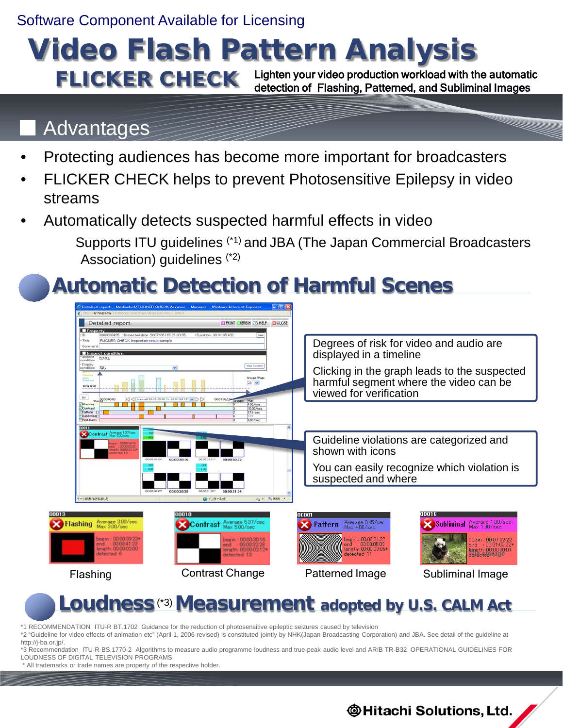Software Component Available for Licensing

### Video Flash Pattern Analysis FLICKER CHECK Lighten your video production workload with the automatic detection of Flashing, Patterned, and Subliminal Images

### **Advantages**

- Protecting audiences has become more important for broadcasters
- FLICKER CHECK helps to prevent Photosensitive Epilepsy in video streams
- Automatically detects suspected harmful effects in video

 Supports ITU guidelines (\*1) and JBA (The Japan Commercial Broadcasters Association) guidelines (\*2)

# **Automatic Detection of Harmful Scenes**



## **Loudness** (\*3) **Measurement adopted by U.S. CALM Act**

\*1 RECOMMENDATION ITU-R BT.1702 Guidance for the reduction of photosensitive epileptic seizures caused by television

\*2 "Guideline for video effects of animation etc" (April 1, 2006 revised) is constituted jointly by NHK(Japan Broadcasting Corporation) and JBA. See detail of the guideline at http://j-ba.or.jp/.

\*3 Recommendation ITU-R BS.1770-2 Algorithms to measure audio programme loudness and true-peak audio level and ARIB TR-B32 OPERATIONAL GUIDELINES FOR LOUDNESS OF DIGITAL TELEVISION PROGRAMS

\* All trademarks or trade names are property of the respective holder.